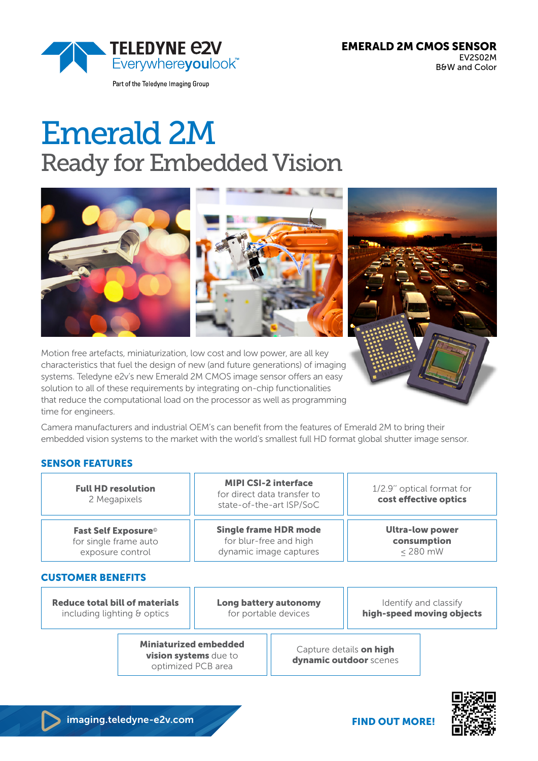

Part of the Teledyne Imaging Group

EMERALD 2M CMOS SENSOR EV2S02M B&W and Color

# Emerald 2M Ready for Embedded Vision



Motion free artefacts, miniaturization, low cost and low power, are all key characteristics that fuel the design of new (and future generations) of imaging systems. Teledyne e2v's new Emerald 2M CMOS image sensor offers an easy solution to all of these requirements by integrating on-chip functionalities that reduce the computational load on the processor as well as programming time for engineers.

Camera manufacturers and industrial OEM's can benefit from the features of Emerald 2M to bring their embedded vision systems to the market with the world's smallest full HD format global shutter image sensor.

## SENSOR FEATURES

| <b>Full HD resolution</b><br>2 Megapixels                                                        |                                                                             | <b>MIPI CSI-2 interface</b><br>for direct data transfer to<br>state-of-the-art ISP/SoC |  | 1/2.9" optical format for<br>cost effective optics  |                                                    |
|--------------------------------------------------------------------------------------------------|-----------------------------------------------------------------------------|----------------------------------------------------------------------------------------|--|-----------------------------------------------------|----------------------------------------------------|
| <b>Fast Self Exposure</b> ®<br>for single frame auto<br>exposure control                         |                                                                             | <b>Single frame HDR mode</b><br>for blur-free and high<br>dynamic image captures       |  | <b>Ultra-low power</b><br>consumption<br>$<$ 280 mW |                                                    |
| <b>CUSTOMER BENEFITS</b><br><b>Reduce total bill of materials</b><br>including lighting & optics |                                                                             | Long battery autonomy<br>for portable devices                                          |  |                                                     | Identify and classify<br>high-speed moving objects |
|                                                                                                  | <b>Miniaturized embedded</b><br>vision systems due to<br>optimized PCB area |                                                                                        |  | Capture details on high<br>dynamic outdoor scenes   |                                                    |